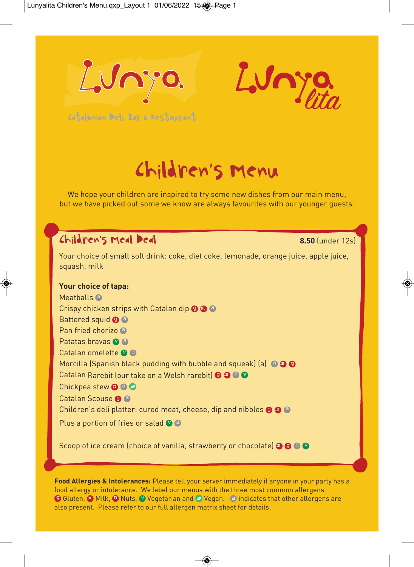



Catalonian Deli, Bar & Restaurant

# Children's Menu

We hope your children are inspired to try some new dishes from our main menu, but we have picked out some we know are always favourites with our younger guests.

### Children's Meal Deal **8.50** (under 12s)

Your choice of small soft drink: coke, diet coke, lemonade, orange juice, apple juice, squash, milk

#### **Your choice of tapa:**

Meatballs<sup>a</sup> Crispy chicken strips with Catalan dip  $\bigcirc \bigcirc \bigcirc$  a Battered squid **O** a Pan fried chorizo <sup>a</sup> Patatas bravas <sup>o</sup> a Catalan omelette <sup>v</sup>a Morcilla (Spanish black pudding with bubble and squeak) (a)  $\bullet$   $\bullet$   $\bullet$ Catalan Rarebit (our take on a Welsh rarebit) © @ @ @ Chickpea stew <sup>@ @</sup> Catalan Scouse <sup>O</sup> Children's deli platter: cured meat, cheese, dip and nibbles  $\bigcirc \hspace{0.1cm} \bullet \hspace{0.1cm} \bullet$ Plus a portion of fries or salad  $\bullet$  a

Scoop of ice cream (choice of vanilla, strawberry or chocolate) @ @ @ @

**Food Allergies & Intolerances:** Please tell your server immediately if anyone in your party has a food allergy or intolerance. We label our menus with the three most common allergens **9 Gluten, MILK, AD Nuts, Ve Vegetarian and O Vegan.** a indicates that other allergens are also present. Please refer to our full allergen matrix sheet for details.